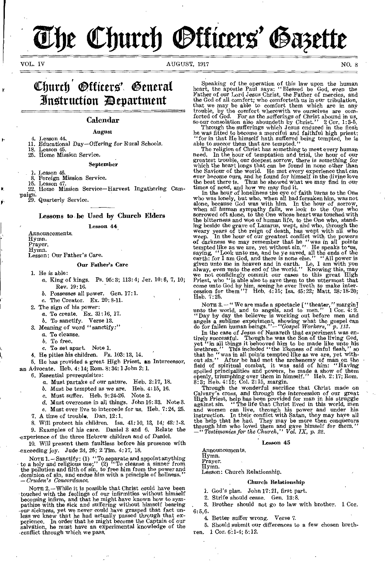# The Church *Otticers'* Gazette

t-

VOL. IV AUGUST, 1917 NO. 8

## Church Officers' General Instruction **D**epartment

#### Calendar

#### August

4. Lesson 44, 11. Educational Day-Offering for Rural Schools.

Lesson 45.

25. Home Mission Service.

September

1. Lesson *46.* 

8. Foreign Mission Service.<br>15. Lesson 47.

Lesson 47.

22. Home Mission Service-Harvest Ingathering Cam-

paign. 29. Quarterly Service.

#### Lessons to-be Used by Church Elders

Lesson 44,

Announcements. Hymn. Prayer. Hymn. Lesson: Our Father's Care.

#### Our Father's Care

1. He is able:

- a, King of kings. Ps. 95:3; 113:4; Jer. 10:6, 7, 10; Rev. 19:16.
- b. Possesses all power. Gen. 17:1.
- c. The Creator. Ex. 20: 8-11.
- 2. The sign of his power:
	- a. To create. Ex. 31:16, 17.
	- b. To sanctify. Verse 13.
- 3. Meaning of word " *sanctify:"*
- a. To cleanse.
	- b. To free.
- c. To set apart. Note 1.
- 4. He pities his children. Ps. 103: 13, 14.

5, He has provided a great High Priest, an Intercessor, an Advocate. Heb. 4: 14; Rom. 8: 34: 1 John 2: 1.

6. Essential prerequisites:

- a. Must partake of our nature. Heb. 2:17, 18.
- b. Must be tempted as we are. Heb. 4:15, 16.
- c. Must suffer. Heb. 9:24-26. Note 2.
- 
- d. Must overcome in all things. John 16: 33. Note 3. e. Must ever live to intercede for us. Heb. 7:24, 25.
- 
- 7. A time of trouble. Dan. 12:1.<br>8. Will protect his children. Isa

Will protect his children. Isa. 41:10, 13, 14; 43:1-3. 9. Examples of his care. Daniel 3 and 6. Relate the

experience of the three Hebrew children and of Daniel. 10. Will present them faultless before his presence with

exceeding joy. Jude 24, 25; 2 Tim. 4:17, 18.

Nore 1. - Sanctify: (1) "To separate and appoint anything<br>to a holy and religious use;" (2) "To cleanse a sinner from<br>the pollution and filth of sin, to free him from the power and<br>dominion of sin, and endue him with a pr *- &Smile Concordance.* 

NOTE 2. -While it is possible that Christ could have been touched with the feelings of our infirmities without himself becoming infirm, and that he might have known how to sympathize with the sick and suffering without himself bearing our sickness, yet we never could have grasped that fact unless we knew that he had actually passed through perience. In order that he might become the Captain of our salvation, he must have an experimental knowledge of the conflict through which we pass,

Speaking of the operation of this law upon the human heart, the apostle Paul says: "Blessed be God, even the Father of our Lord Jesus Christ, the Father of mercies, and<br>the God of all comfort; who comforteth us in our tribulation,<br>that we may be able to comfort them which are in any<br>trouble, by the comfort wherewith we ourselves forted of God. For as the *sufferings* of Christ abound in us, so our consolation also aboundeth by Christ." 2 Cor. 1:3-5.

Through the sufferings which Jesus endured in the flesh<br>he was fitted to become a merciful and faithful high priest:<br>"for in that He himself hath suffered being tempted, he is<br>able to succor them that are tempted."<br>The rel

need. In the hour of temptation and trial, the hour of our greatest trouble, our deepest sorrow, there is something for which the heart longs that can be found in none other than the Saviour of the world. He met every expe times of need, and how we may find it. In the hour of loneliness the eye of faith turns to the One

who was lonely, but who, when all had forsaken him, was not alone, because God was with him. In the hour of sorrow, when all human sympathy fails, we look to the One who sorrowed oft alone, to the One whose heart was touched with the bitterness and woe of human life, to the One who, standing beside the grave of Lazarus, wept, and who, t earth: for I am God, and there is none else." "All power is given unto me in heaven and in earth. Lo, I am with you alway, *even* unto the end of the world." Knowing this, may we not confidingly commit our cases to this great High Priest, who "is able also to save them to the uttermost that come unto God by him, seeing he ever liveth to make inter-cession for them"? Heb. 4:15; Isa. 45:22; Matt. 28:18-20; Heb. 7:25.

NOTE 3. - "We are made a spectacle ["theater," margin] unto the world, and to angels, and to men." 1 Cor. 4:9.<br>"Day by day the believer is working out before men and angels a sublime experiment, showing what the gospel can do for fallen human beings."-"Gospel *Workers," p. 113.* 

In the case of Jesus of Nazareth that experiment was entirely successful. Though he was the Son of the living God, yet "in all things it behooved him to be made like unto his brethren." This included "the likeness of sinfu that he "was in all points tempted like as we are, yet with-<br>out sin." After he had met the archenemy of man on the<br>field of spiritual combat, it was said of him: "Having<br>spoiled principalities and powers, he made a show

Through the wonderful sacrifice that Christ made on Calvary's cross, and through the intercession of our great High Priest, help has been provided for man in his struggle against sin. " The life that Christ lived in this world, men and women can live, through his power and under his instruction. In their conflict with Satan, they may have all the 'help that he had. They may be more then conquerors through him who loved them and gave himself for them." *-"Testimonies for the Church," Vol. IX, p. 22.* 

#### Lesson 45

Announcements. Hymn. Prayer. Hymn.

Lesson: Church Relationship.

#### Church Relationship

1. God's plan. John 17:21, first part.

2. Strife should cease. Gen. 13:8.

3. Brother should not go to law with brother. 1 Cor. 6:5,6.

4. Better suffer wrong. Verse 7.

6. Should submit our differences to a few chosen brethren. 1 Cor. 6:1-4; 5:12.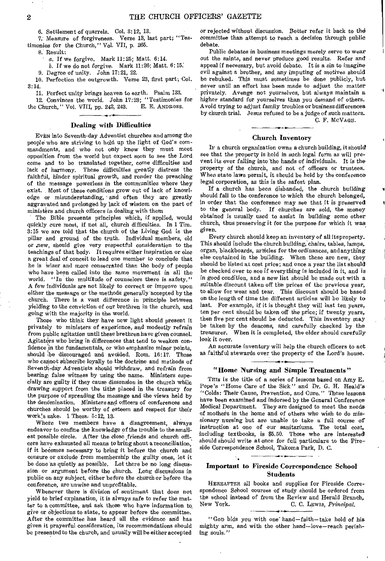6. Settlement of quarrels. Col. 3:12, 13.

7. Measure of forgiveness. Verse 13, last part; "Testimonies for the Church," Vol. VII, p. 265.

S. Result:

- a. If we forgive. Mark 11:25; Matt. 6:14.
- b. If we do not forgive. Mark 11:26; Matt. 6:15:

9. Degree of unity. John 17:21, 22.

10. Perfection the outgrowth. Verse 23, first part; Col. 3:14.

11. Perfect unity brings heaven to earth. Psalm 133.

12. Convinces the world. John  $17:23$ ; "Testimonies for Church." Vol. VIII, pp. 242, 243. E. E. ANDROSS. the Church," Vol. VIII, pp. 242, 243.

#### Dealing with Difficulties

EVEN into Seventh-day Adventist churches and among the people who are striving to hold up the light of God's commandments, and who not only know they must meet opposition from the world but expect soon to see the Lord come and to be translated together, come difficulties and lack of harmony. These difficulties greatly distress the faithful, hinder spiritual growth, and render the preaching of the message powerless in the communities where they exist. Most of these conditions grow out of lack of knowledge or misunderstanding, and often they are greatly aggravated and prolonged by lack of wisdom on the part of ministers and church officers in dealing with them

The Bible presents principles which, if applied, would quickly cure most, if not all, church difficulties. In 1 Tim. 3:15 we are told that the church of the Living God is the pillar and ground of the truth. Individual members, old or ,new, should give very respectful consideration to the teachings of that body. It requires either inspiration or else a great deal of conceit to lead one member to conclude that he is wiser and more consecrated than the body of people who have been called into the same movement in all the world. "In the multitude of counselors there is safety." "In the multitude of counselors there is safety." A few individuals are not likely to correct or improve upon either the message or the methods generally accepted by the church. There is a vast difference in principle between yielding to the conviction of our brethren in the church, and going with the majority in the world.

Those who think they have new light should present it privately to ministers of experience, and modestly refrain from public agitation until these brethren have given counsel. Agitators who bring in differences that tend to weaken confidence in the fundamentals, or who emphasize minor points, should be discouraged and avoided. Rom. 16:17. Those who cannot subscribe loyally to the doctrine and methods of Seventh-day Adventists should withdraw, and refrain from bearing false witness by using the name. Ministers especially are guilty if they cause dissension in the church while drawing support from the tithe placed in the treasury for the purpose of spreading the message and the views held by the denomination. Ministers and officers of conferences and churches should be worthy of esteem and respect for their work's sake. 1 Thess: 5:12, 13.

Where two members have a disagreement, always endeavor to confine the knowledge of the trouble to the smallest possible circle. After the close friends and church officers have exhausted all means to bring about a reconciliation; if it becomes necessary to bring it before the church and censure or exclude from membership the guilty ones, let it be done as quietly as possible. Let there be no long discussion or argument before the church. Long discussions in public on any subject, either before the church or before the conference, are unwise and unprofitable.

Whenever there is division of sentiment that does not yield to brief explanation, it is always safe to refer the matter to a committee, and ask those who have information to, give or objections to state, to appear before the committee. After the committee has heard all the evidence and has given it prayerful consideration, its recommendations should be presented to the church, and usually will be either accepted

or rejected without discussion. Better refer it back to the committee than attempt to reach a decision through public debate.

Public debates in business meetings merely serve to wear out the saints, and never produce good results. Refer and appeal if necessary, but avoid debate. It is a sin to imagine evil against a brother, and any imputing of motives should be rebuked. This must sometimes be done publicly, but never until an effort has been made to adjust the matter privately. Avenge not yourselves, but always maintain a higher standard for yourselves than you demand of others. Avoid trying to adjust family troubles or business differences by church trial. Jesus refused to be a judge of such matters.

C. F. MCVAGH.

#### Church Inventory

IF a church organization owns a church building, it should see that the property is held in such legal form as will prevent its ever falling into the hands of individuals. It is the property of the church, and not of officers or trustees. When state laws permit, it should be held by the conference legal corporation, as this is the safest plan.

If a church has been disbanded, the church building should fall to the conference to which the church belonged, in order that the conference may see that it is preserved to the general body. If churches are sold, the money obtained is usually used to assist in building some other church, thus preserving it for the purpose for which it was given.

Every church should keep an inventory of all itsproperty. This should include the church building, chairs, tables, lamps, organ, blackboards, articles for the ordinances, andanything else contained in the building. When these are new, they should be listed at cost price; and once a year the list should be checked over to see if everything is included in it, and is in good condition, and a new list should be made out with a suitable discount taken off the prices of the previous year, to allow for wear and tear. This discount should be based on the length of time the different articles will be likely to last. For example, if it is thought they will last ten years, ten per cent should be taken off the price; if twenty years, then five per cent should be deducted. This inventory may be taken by the deacons, and carefully checked by the treasurer. When it is completed, the elder should carefully look it over.

An accurate inventory will help the church officers to act as faithful stewards over the property of the Lord's house.

#### "Home Nursing and Simple Treatments"

This is the title of a series of lessons based on Amy  $E$ . Pope's "Home Care of the Sick" and Dr. G. H. Heald's "Colds: Their Cause, Prevention, and Cure." These lessons have been examined and indorsed by the General Conference Medical Department. They are designed to meet the needs of mothers in the home and of others who wish to do missionary nursing but are unable to take a full course of instruction at one of our sanitariums. The total cost, including textbooks, is \$5.50. Those who are interested should should write at once for full particulars to the Fireside Correspondence School, Takoma Park, D. C.

#### Important to Fireside Correspondence School **Students**

HEREAFTER all books and supplies for Fireside Correspondence School courses of study should be ordered from the school instead of from the Review and Herald Branch,<br>New York. C. C. LEWIS. Principal. New York. C. C. LEWIS, *Principal.* 

"Gop bids you with one hand-faith-take hold of his mighty arm, and with the other hand—love—reach perishing souls."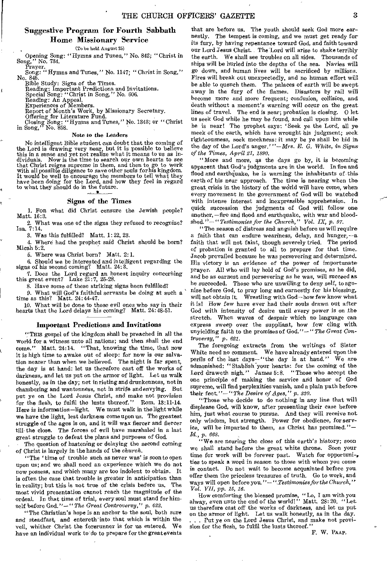#### Suggestive Program for Fourth Sabbath Home Missionary Service

(To be held August 25)

Opening Song: "Hymns and Tunes," No. 842; "Christ in Song," No. 734.  $^{\circ}$  No. 734.

Prayer. Song: " Hymns and Tunes," No. 1147; " Christ in Song," No. 845.

Bible Study: *Signs* of the Times. Reading: Important Predictions and Invitations.

Special Song: "Christ in Song," No. 606. Reading: An Appeal.

Experiences of Members. Report of Month's Work, by Missionary Secretary.

Offering for Literature Fund. Closing Song: "Hymns and Tunes," No. 1343; or "Christ in Song," No. 858.

#### Note to the Leaders

No intelligent Bible student can doubt that the coming of the Lord is drawing very near, but it is possible to believe this in a sense and yet not realize what it means to us as in-dividuals. Now is the time to search our own hearts to see that Christ reigns supreme in them, and then to go to work with all possible diligence to save other souls for his kingdom. It would be well to encourage the members to tell what they have been doing for the Lord, and how they feel in regard to what they should do in the future.

#### Signs of the Times

1. Fon what did Christ censure the Jewish people? Matt. 16:3.

2. What was one of the signs they refused to recognize? Isa. 7:14.

3. Was this fulfilled? Matt. 1: 22, 23.

4. Where had the prophet said Christ should be born? Micah 5:2.

5. Where was Christ born? Matt. 2:1.

6. Should we be interested and intelligent regarding the signs of his second coming? Matt. 24:3.

7. Does the Lord regard an honest inquiry concerning this great event? Luke 21:7, 26-28.

8. Have some of these striking signs been fulfilled?

9. What will God's faithful servants be doing at such a time as this? Matt. 24:44-47.

10. What will be done to those evil ones who say in their hearts that the Lord delays his coming? Matt. 24:48-51.

#### Important Predictions and Invitations

"This gospel of the kingdom shall be preached in all the world for a witness unto all nations; and then shall the end come." Matt. 24:14. "That, knowing the time, that now it is high time to awake out of sleep: for now is our salvation nearer than when we believed. The night is far spent, the day is at hand: let us therefore cast off the works of darkness, and let us put on the armor of light. Let us walk honestly, as in the day; not inrioting and drunkenness, not in chambering and wantonness, not in strife and envying. But put ye on the Lord Jesus Christ, and make not provision for the flesh, to fulfil the lusts thereof." Rom. 13:11-14. Here is information-light. We must walk in the light while we have the light, lest darkness come upon us. The greatest struggle of the ages is on, and it will wax fiercer and fiercer till the close. The forces of evil have marshaled in a last great struggle to defeat the plans and purposes of God.

The question of hastening or delaying the second coming of Christ is largely in the hands of the *church.* 

"The 'time of trouble such as never was' is soon to open upon us; and we shall need an experience which we do not now possess, and which many are too indolent to obtain. It is often the ease that trouble is greater in anticipation than in reality; but this is not true of the crisis before us. The most vivid presentation cannot reach the magnitude of the ordeal. In that time of trial, every soul must stand for himself before God." - " The Great Controversy," p. 622.

"The Christian's hope is an anchor to the soul, both sure and steadfast, and entereth into that which is within the veil, whither Christ the forerunner is for us entered. We have an individual work to do to prepare for the great events

that are before us. The youth should seek God more earnestly. The tempest is coming, and we must get ready for its fury, by having repentance toward God, and faith toward our Lord Jesus Christ. The Lord will arise to shake terribly the earth. We shall see troubles on all sides. Thousands of ships will be hurled into the depths of the sea. Navies will go down, and human lives will be sacrificed by millions. Fires will break out unexpectedly, and no human effort will be able to quench them. The palaces of earth will be swept away in the fury of the flames. Disasters by rail will become more and more frequent; confusion, collision, and death without a moment's warning will occur on the great lines of travel. The end is near; probation is closing. 0 let us seek God while he may be found, and call upon him while he is near! The prophet says: 'Seek ye the Lord, all ye meek of the earth, which have wrought his judgment; seek righteousness, seek meekness: it may be ye shall be hid in the day of the Lord's anger.' "-Mrs. *E. G.* White, in *Signs of the Times, April 21, 1890.* 

"More and more, as the days go by, it is becoming apparent that God's judgments are in the world. In fire and flood and earthquake, he is warning the inhabitants of this earth of his near approach. The time is nearing when the great crisis in the history of the world will have come, when every movement in the government of God will be watched with intense interest and inexpressible apprehension. In quick succession the judgments of God will follow one another, -fire and flood and earthquake, with war and bloodshed." - "Testimonies for the Church," Vol. IX, p. 97.

"The season of distress and anguish before us will require a faith that can endure weariness, delay, and hunger, *-a*faith that will not faint, though severely tried. The period of probation is granted to all to prepare for that time. Jacob prevailed because he was persevering and determined. His victory is an evidence of the power of importunate prayer. All who will lay hold of God's promises, as he did, and be as earnest and persevering as he was, will succeed as he succeeded. Those who are unwilling to deny self, to agonize before God, to pray long and earnestly for his blessing, will not obtain it. Wrestling with God-how few know what it is! How few have ever had their souls drawn out after God with intensity of desire until every power is on the stretch. When waves of despair which no language can express sweep over the suppliant, how few cling with unyielding faith to the promises of God." - " *The Great Controversy," p. 621.* 

The foregoing extracts from the writings of Sister White need no comment. We have already entered upon the perils of the last days- " the day is at hand." We are admonished: " Stablish'your hearts: for the coming of the Lord draweth nigh." James 5:8. "Those who accept the one principle of making the service and honor of God supreme, will find perplexities vanish, and a plain path before their feet. "- " *The Desire of Ages," p. 330.* 

"Those who decide to do nothing in any line that will displease God, will know, after presenting their case before him, just what course to pursue. And they will receive not only wisdom, but strength. Power for obedience, for service, will be imparted to them, as Christ has promised."-*Id., p. 668.* 

"We are nearing the close of this earth's history; soon we shall stand before the great white throne. Soon your time for work will be forever past. Watch for opportuni-, ties to speak a word in season to those with whom you come in contact. Do not wait to become acquainted before you offer them the priceless treasures of truth. Go to work, and ways will open before you."- *",Testimoniesforthe Church," Vol. VII, pp. 15, 16.* 

How comforting the blessed promise, "Lo, I am with you alway, even unto the end of the world!" Matt. 28: 20. "Let us therefore cast off the works of darkness, and let us put on the armor of light. Let us walk honestly, as in the day. . . . Put ye on the Lord Jesus Christ, and make not provision for the flesh, to fulfil the lusts thereof."

F. W. PAAP.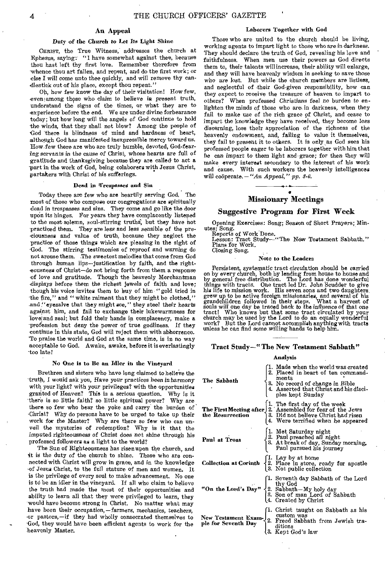#### An Appeal

#### Duty of the Church to Let *Its* Light Shine

CHRIST, the True Witness, addresses the church at Ephesus, saying: "I have somewhat against thee, because thou hast left thy first love. Remember therefore from whence thou art fallen, and repent, and do the first work; or else I will *come* unto thee quickly, and will remove thy candlestick out of his place, except thou repent."

ON how few know the day of their visitation! How few, -even] among those who claim to believe *in* present truth, understand the signs of the times, or what they are to -experience before the end. We are under divine forbearance today; but how long will the angels of God continue to hold the winds, that they shall not blow? Among the people of God there is blindness of mind and hardness of heart, although God has manifested inexpressible mercy toward us. How, few there are who are truly humble, devoted, God-fearing servants in the cause *of* Christ, whose hearts are full of gratitude and thanksgiving because they are called- to act a part in the work of God, being colaborers with Jesus Christ, partakers with Christ of his sufferings.

#### Dead in 'Trespasses and Sin

Today there are few who are heartily serving God, The most of those who compose our congregations are spiritually dead in trespasses and sins. They come and go like the door upon its hinges. For years they have complacently listened to the most solemn, soul-stirring truths, but they have not practiced them. They are less and less sensible of the preciousness and value of truth, because they neglect the practice of those things which are pleasing in the sight of -God. The stirring testimonies of reproof and warning do not arouse them. The sweetest melodies that come from God through human lips—justification by faith, and the right- -eousness of Christ—do not bring forth from them a response of love and gratitude. Though the heavenly Merchantman -displays before them the richest jewels of faith and love; though his voice invites them to buy of him " gold tried in the fire," and " white raiment that they might be clothed," and "eyesalve that they might see," they steel *their hearts*  against him, and fail to exchange their lukewarmness for love and zeal; but fold their hands in complacency, make a profession but deny the power of true godliness. If they continue in this state, God will reject them with abhorrence. 'To praise the world and God at the same time, is in no way acceptable to God. Awake, awake, before it is everlastingly too late!

#### No One is to Be an Idler in the Vineyard

Brethren and sisters who have long claimed to believe the truth, I would ask you, Have your practices been in harmony with your light? with your privileges? with the opportunities granted of Heaven? This is a serious question. Why is it there is so little faith? so little spiritual power? Why are there so few who bear the yoke and carry the burden of -Christ? Why do persons have to be urged to take up their work for the Master? Why are there so few who can unveil the mysteries of redemption? Why is it that the imputed *righteousness of* Christ does not shine through his professed followers as a light to the world?

The Sun of Righteousness has risen upon the church, and it is the duty of the church to shine. Those who are connected with Christ will grow in grace, and in the knowledge -of Jesus Christ, to the full stature of men and women. It is the privilege of every soul to make advancement. No one is to be an idler in the vineyard. If all who claim to believe the truth had made the most of their opportunities and ability to learn all that they were privileged to learn, they would have become strong in Christ. No matter what may have been their occupation, —farmers, mechanics, *teachers,*  -or pastors, —if they had wholly consecrated themselves to -God, they would have been efficient agents to work for the heavenly Master.

#### Laborers Together with God

Those who are united to the church should be living, working agents to impart light to those who are in darkness. They should declare the truth of God, revealing his love and faithfulness. When men use their powers as God directs them to, their talents will increase, their ability will enlarge, and they will have heavenly wisdom in seeking to save those who *are* lost. But while the church members are listless, and neglectful of their God-given responsibility, how can they expect to receive the treasure of heaven to impart to others? When professed *Christians* feel *no* burden *to* enlighten the minds of those who are in darkness, when they fail to make use of the rich grace of Christ, and cease to impart the knowledge they have received, they become less discerning, lose their appreciation of the richness of the heavenly endowment, and, failing to value it themselves, they fail to present it to others. It is only as God sees his professed people eager to be laborers together with him that he can *impart to* them *light* and grace; for then they will make every interest secondary to the interest of his work and cause. With such workers the heavenly intelligences will cooperate.  $-$  "An Appeal," pp. 8-6.

#### • Missionary Meetings

#### Suggestive Program for First Week

Opening Exercises: Song; Season of Short Prayers; Minutes; Song.

Reports of Work Done.

Lesson: Tract Study—"The New Testament Sabbath." Plans for Work. Closing Song.

#### Note to the Leaders

Persistent, systematic tract circulation should be carried on by every church, both by lending from house to house and by general free distribution. The Lord has done wonderful things with tracts. One tract led Dr. John Scudder to give his life to mission work. His seven sons and two daughters, grew up to be active foreign missionaries, and several of his grandchildren followed in their steps. What a harvest of souls will one day be traced back to the influence of that one tract! Who knows but that some tract circulated by your church may be used by the Lord to do an equally wonderful work? But the Lord cannot accomplish anything with tracts unless he can find some willing hands to help him.

#### Tract Study—"The New Testament Sabbath"

#### Analysis

| Analysis                     |                                                                                                                                                                                                                                                |  |  |  |  |  |  |  |
|------------------------------|------------------------------------------------------------------------------------------------------------------------------------------------------------------------------------------------------------------------------------------------|--|--|--|--|--|--|--|
| The Sabbath                  | 1. Made when the world was created<br>2. Placed in heart of ten command-<br>4. The ments<br>3. No record of change in Bible<br>4. Asserted that Christ and his disciples kept Sunday                                                           |  |  |  |  |  |  |  |
|                              | The First Meeting after $\begin{cases} 1. \text{ The first day of the week} \\ 2. \text{ Assembled for fear of the Jews} \\ 3. \text{ Did not believe Christ had risen} \\ 4. \text{ Were territorial when he appeared} \end{cases}$           |  |  |  |  |  |  |  |
| Paul at Troas                | $\begin{cases} 1. \text{ Met Saturday night} \\ 2. \text{ Paul preceded all night} \\ 3. \text{ At break of day, Sunday morning, Paul pursued his journey} \end{cases}$                                                                        |  |  |  |  |  |  |  |
| <b>Collection at Corinth</b> | $\begin{cases} 1. & \text{Lay by at home} \\ 2. & \text{Place in store, ready for apostle} \\ 3. & \text{Not public collection} \end{cases}$                                                                                                   |  |  |  |  |  |  |  |
|                              | "On the Lord's Day" $\left\{\n\begin{array}{l}\n1. \text{ Seventh day Sabbath of the Lord} \\ \text{thy God} \\ 2. \text{ Sabbath–My holy day} \\ 3. \text{ Son of man Lord of Sabbath} \\ 4. \text{ Create dy Christ}\n\end{array}\n\right\}$ |  |  |  |  |  |  |  |
|                              | 11. Christ taught on Sabbath as his<br>New Testament Exam-<br>2. Freed Sabhath from Jewish tra-<br>18. Kept God's law                                                                                                                          |  |  |  |  |  |  |  |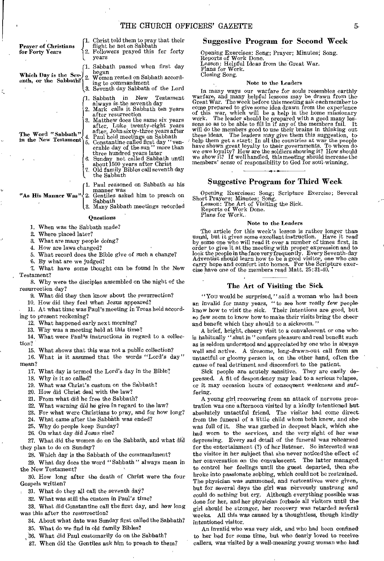THE CHURCH OFFICERS' GAZETTE 55

| Praver of Christians<br>for Forty Years    | 1. Christ told them to pray that their<br>flight be not on Sabbath<br>2. Followers prayed this for forty<br>vears                                                                                                                |
|--------------------------------------------|----------------------------------------------------------------------------------------------------------------------------------------------------------------------------------------------------------------------------------|
| enth, or the Sabbath?)                     | 1. Sabbath passed when first day<br>began<br>Which Day is the Sev- 2. Women rested on Sabbath accord-<br>ing to commandment<br>3. Seventh day Sabbath of the Lord                                                                |
|                                            | w:<br>Gr<br>1. Sabbath in New Testament<br>always is the seventh day<br>$_{\rm co}$<br>2. Mark calls it Sabbath ten years<br>οf<br>after resurrection<br>W.<br>3. Matthew does the same six years<br>SO.                         |
| The Word "Sabbath"<br>in the New Testament | after, Luke twenty-eight years<br>$\boldsymbol{W}$<br>after, John sixty-three years after<br>th<br>4. Paul held meetings on Sabbath<br>he<br>Constantine called first day "ven-<br>5.<br>ha<br>arabla day of the cur " mare than |

- erable day of the sun " more than<br>
three hundred years later<br>
6. Sunday not called Sabbath until<br>
about 1500 years after Christ<br>
7. Old family Bibles call seventh day
- the Sabbath

1. Paul reasoned on Sabbath as his manner was

"As His Manner Was" 2. Gentiles asked him to preach on Sabbath

3. Many Sabbath meetings recorded Questions

1. When was the Sabbath made?

2. Where placed later?

Ĩ.

3. What are many people doing?

4. How are laws changed?

5. What record does the Bible give of such a change?

6. By what are we judged?

7. What have some thought can be found in the New Testament?

8. Why were the disciples assembled on the night of the resurrection day?

- 9. What did they then know about the resurrection?
- 10. How did they feel when Jesus appeared?

11. At what time was Paul's meeting in Troas held according to present reckoning?

12. What happened early next morning?

13. Why was a meeting held at this time?

14. What were Paul's instructions in regard to a collection?

15. What shows that this was not a public collection?

16. What is it assumed that the words "Lord's day" mean?

17. What day is termed the Lord's day in the Bible?

18. Why is it so called?

19. What was Christ's custom on the Sabbath?

20. How did Christ deal with the law?

21. From what did he free the Sabbath?

22. What warning did he give in regard to the law?

23. For what were Christians to pray, and for how long?

24. What came after the Sabbath was ended?

25. Why do people keep Sunday?

26. On what day did Jesus rise?

27. What did the women do on the Sabbath, and what did they plan to do on Sunday?

28. Which day is the Sabbath of the commandment?

29. What day does the word " Sabbath " always mean in the New Testament?

30. How long after the death of Christ were the four Gospels written?

31. What do they all call the seventh day?

32. What was still the custom in Paul's time?

33. What did Constantine call the first day, and how long was this after the resurrection?

34. About what date was Sunday first called the Sabbath?

36. What do we find in old family Bibles?

36. What did Paul customarily do on the Sabbath?

37. When did the Gentiles ask him to preach to them?

#### Suggestive Program for Second Week

Opening Exercises: Song; Prayer; Minutes; Song. Reports of Work Done. Lesson: Helpful Ideas from the Great War. Plans for Work. Closing Song.

#### Note to the Leaders

In many ways our warfare for souls resembles earthly warfare, and many helpful lessons may be drawn from the. Great War. The week before this meeting ask each member tocome prepared to give some idea drawn from the experience<br>of this war, which will be a help in the home missionary<br>work. The leader should be prepared with a good many les-<br>sons so as to be able to fill in if any of the me will do the members good to use their brains in thinking out these ideas. The leaders may give them this suggestion, to help them get a start: In all the countries at war the people have shown great loyalty to their governments. To whom do<br>we owe loyalty? How are the soldiers showing it? How should<br>we show it? If well handled, this meeting should increase the<br>members' sense of responsibility to God fo

#### Suggestive Program for Third Week

Opening Exercises: Song; Scripture Exercise; Several

Short Prayers; Minutes; Song. Lesson; The Art of Visiting the Sick. Reports of Work Done.

Plane for Work.,

#### Note to the Leaders

The article for this week's lesson is rather longer than usual, but it gives some excellent instruction. Have it read by some one who will read it over a number of times first, in order to give it at the meeting with proper expression and to look the people in the face very frequently. Every Seventh-day Adventist should learn how to be a good visitor, one who can carry hope and comfort into homes. F cise have one of the members read Matt. 25:31-40. '

#### The Art of Visiting the Sick

"You would be surprised," said a woman who had been an invalid for many years, "to see how really few people know how to visit the sick. Their intentions are good, but so few seem to know how to make their visits bring the cheer and benefit which they should to a sickroom."

A brief, bright, cheery visit to a convalescent or one who is habitually " shut in " confers pleasure and real benefit such as is seldom understood and appreciated by one who is always well and active. A tiresome, long-drawn-out call from an untactful or gloomy person is, on the other hand, often the cause of real detriment and discomfort to the patient.

Sick people are acutely sensitive. They are easily depressed. A fit of despondency may lead to a serious relapse, or it may occasion hours of consequent weakness and suffering.

A young girl recovering from an attack of nervous prostration was one afternoon visited by a kindly intentioned but absolutely untactful friend. The visitor had come direct from the funeral of a little child whom both knew, and she' was full of it. She was garbed in deepest black, which she had worn to the services, and the very sight of her was depressing. Every sad detail of the funeral was rehearsed for the entertainment (?) of her listener. So interested was the visitor in her subject that she never noticed the effect of her conversation on the convalescent. The latter managed to control her feelings until the guest departed, then she broke into passionate sobbing, which could not be restrained-The physician was summoned, and restoratives were given, but for several days the girl *was* nervously unstrung and could do nothing but cry. Although everything possible was done for her, and her physician forbade all visitors until the girl should be stronger, her recovery *was* retarded several weeks. All this was caused by a thoughtless, though kindly intentioned visitor.

An invalid who was very sick, and who had been confined to her bed for some time, but who dearly loved to receive callers, was visited by a well-meaning young woman who had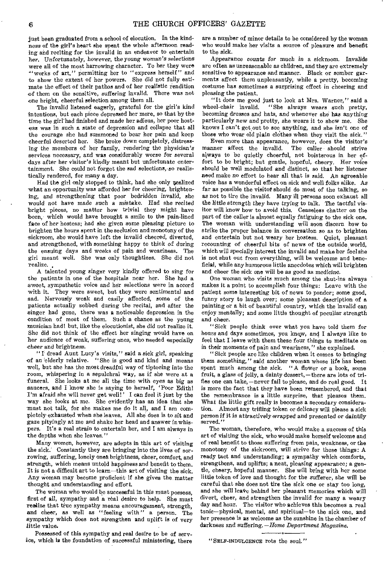just been graduated from a school of elocution. In the kindness of the girl's heart she spent the whole afternoon reading and reciting for the invalid in an endeavor to entertain her. *Unfortunately,* however, the *young woman's selections*  were all of the most harrowing character. To her they were "works of art," permitting her to "express herself" and to show the extent of her powers. She did not fully estimate the effect of their pathos and of her realistic rendition of them on the sensitive, suffering invalid. There was not one bright, cheerful selection among them all.

The invalid listened eagerly, grateful for the girl's kind intentions, but each piece depressed her more, so that by the time the girl had finished and made her adieus, her poor hostess was in such a state of depression and collapse that all the courage she had summoned to bear her pain and keep cheerful deserted her. She broke down completely, distressing the members of her family, rendering the physician's services necessary, and was considerably worse for several days after her visitor's kindly meant but unfortunate entertainment. She could not forget the sad selections, so realistically rendered, for many a day.

Had the girl only stopped to think, had she only realized what an opportunity was afforded her for cheering, brightening, and strengthening that poor bedridden invalid, she would *not have* made such a mistake. Had she recited bright pieces, no matter how trivial they might have been, which would have brought a smile to the pain-lined face of her hostess; had she given some pleasing picture to brighten the hours spent in the seclusion and monotony of the sickroom, she would have left the invalid cheered, diverted, and strengthened, with something happy to think of during the ensuing days and weeks of pain and weariness. The girl meant well. She was only thoughtless. She did not realize. ,

A talented young singer very kindly offered to sing for the patients in one of the hospitals near her. She had a sweet, sympathetic voice and her selections were in accord with it. They were sweet, but they were sentimental and sad. Nervously weak and easily affected, some of the patients actually sobbed during the recital, and after the singer had gone, there was a noticeable depression in the condition of most of them. Such a chance as the young musician had! but, like the elocutionist, she did not realize it. She did not think of the effect her singing would have on her audience of weak, suffering ones, who needed especially cheer and brightness.

"I'dread Aunt Lucy's visits," said a sick girl, speaking of an 'elderly relative. "She is good and kind and means well, but she has the most dreadful way of tiptoeing into the room, whispering in a sepulchral way, as if she were at a funeral. She looks at me all the time with eyes as big as saucers, and I know she is saying to herself, 'Poor Edith! I'm afraid she will never get well!' I can feel it just by the way she looks at me. She evidently has an idea that she must not talk, for she makes me do it all, and I am completely exhausted when she leaves. All she does is to sit and gaze pityingly at me and shake her head and answer in whispers. It's a real strain to entertain her, and I am always in the depths when she leaves."

Many women, however, are adepts in this art of visiting the sick. Constantly they are bringing into the lives of sorrowing, suffering, lonely ones brightness, cheer, comfort, and strength, which means untold happiness and benefit to them. It is not a difficult art to learn—this art of visiting the sick. Any woman may become proficient if she gives the, matter thought and understanding and effort.

The woman who would be successful in this must possess. first of all, sympathy and a real desire to help. She must realize that true sympathy means encouragement, strength, and cheer, as well as "feeling with" a person. The sympathy which does not strengthen and uplift is of very little value.

Possessed of this sympathy and real desire to be of service, which is the foundation of successful ministering, there are a number of minor details to be considered by the woman who would make her visits a source of pleasure and benefit to the sick.

Appearance *counts for* much *in* a sickroom. Invalids are often as unreasonable as children, and they are extremely sensitive to appearance and manner. Black or somber garments affect them unpleasantly, while a pretty, becoming costume has sometimes a surprising effect in cheering and pleasing the patient.

"It does me good just to look at Mrs. Warner," said a "She always wears such pretty, becoming dresses and hats, and whenever she has anything particularly new and pretty, she wears it to show me. She knows I can't get, out to see anything, and she isn't one of those who wear old plain clothes when they visit the sick."

Even more than appearance, however, does the visitor's manner affect the invalid. always to be quietly cheerful, not boisterous in her effort to be bright; but gentle, hopeful, cheery. Her voice should be well modulated and distinct, so that her listener need make no effort to hear all that is said. An agreeable voice has a wonderful effect on sick and well folks alike. As far as possible the visitor should do most of the talking, so as not to tire the invalid. Many ill persons soon exhaust all the little strength they have trying to talk. The tactful visitor will know how to avoid this. Ceaseless chatter on the part of the caller is almost equally fatiguing to the sick one. The woman with understanding will soon discern how to strike the proper balance in conversation so as to brighten and entertain but not weary her hostess. Quiet, pleasant recounting of cheerful bits of news of the outside world, which will specially interest the invalid and make her feel she is not shut out from everything, will be welcome and beneficial, while any humorous little anecdotes which will brighten and cheer the sick one will be as good as medicine.

One woman who visits much among the shut-ins always makes it a point to accomplish four things: Leave with the patient some interesting bit of news to ponder; some good, funny story to laugh over; some pleasant description of a painting or a bit of beautiful country, which the invalid can enjoy mentally; and some little thought of peculiar strength and cheer.

"Sick people think over what you have told them for hours and days sometimes, you know, and I always like to feel that I leave with them these four things to meditate on in their moments of pain and weariness," she explained.

"Sick people are like children when it comes to bringing them something," said another woman whose life has been spent much among the sick. "A flower or a book, some fruit, a glass of jelly, a dainty dessert, —there are lots of trifles one can take, —never fail to please, and do real good. It is more the fact that they have been remembered, and that the remembrance is a little surprise, that pleases them. What the little gift really is becomes a secondary consideration. Almost any trifling token or delicacy will please a sick person if it is attractively wrapped and presented *or daintily*  served."

The woman, therefore, who would make a success of this art of visiting the sick, who would make herself welcome and of real benefit to those suffering from pain, weakness, or the monotony of the sickroom, will strive for these things: A ready tact and understanding; a sympathy which comforts, strengthens, and uplifts; a neat, pleasing appearance; a gentle, cheery, hopeful manner. She will bring with her some little token of love and thought for the sufferer, she will be careful that she does not tire the sick one or stay too long, and she will leave behind her pleasant memories which will divert, cheer, and strengthen the invalid for many a weary day and hour. The visitor who achieves this becomes a real tonic—physical, mental, and spiritual—to the sick one, and her presence is as welcome as the sunshine in the chamber of darkness and suffering. *—Home Department Magazine.* 

"SELF-INDULGENCE rots the soul."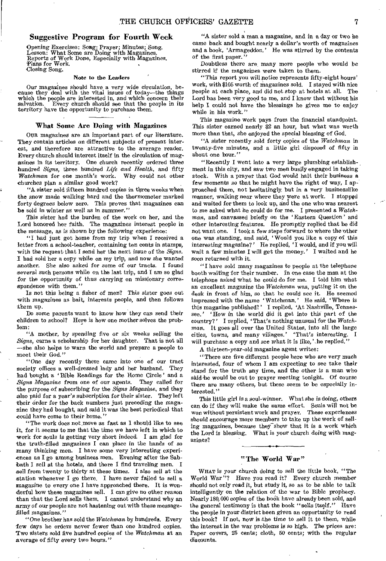#### Suggestive Program for Fourth Week

Opening Exercises: Song; Prayer; Minutes; Song. Lesson: What Some are Doing with Magazines. Reports of Work Done, Especially with Magazines. Plans for Work. Closing Song.

#### Note to the Leaders

Our magazines should have a very wide circulation, be-cause they deal with the vital issues of today—the things which the people are interested in, and which concern their<br>salvation. Every church should see that the people in its Every church should see that the people in its territory have the opportunity to purchase them.

#### What Some Are Doing with Magazines

OUR magazines are an important part of our literature. They contain articles on different subjects of present interest, and therefore are attractive to the average reader. Every church should interest itself in the circulation of magazines in its territory. One church recently ordered three hundred *Signs,* three hundred *Life and Health,* and fifty *Watchman* for one month's work. churches plan a similar good work?

"A sister sold fifteen hundred copies in three weeks when the snow made walking hard and the thermometer marked forty degrees below zero. This proves that magazines can be sold in winter as well as in summer."

This sister had the burden of the work on her, and the Lord honored her faith. The magazines interest people in the message, as is shown by the following experience:

"I had just got home from my trip when I received a letter from a school-teacher, containing ten cents in stamps, with the request that I send her the next issue of the *Signs.*  I had sold her a copy while on my trip, and now she wanted another. She also asked for some of our tracts. I found several such persons while on the last trip, and I am so glad for the opportunity of thus carrying on missionary correspondence with them."

Is not this being a fisher of men? This sister goes out with magazines as bait, interests people, and then follows them up.

Do some parents want to know how they can send their children to school? Here is how one mother solves the problem:

mother, by spending five or six weeks selling the Signs, earns a scholarship for her daughter. That is not all —she also helps to warn the world and prepare a people to meet their God."

"One day recently there came into one of our tract society offices a well-dressed lady and her husband. They had bought a 'Bible Readings for the Home Circle' and a *Signs Magazine* from one of our agents. They called for the purpose of subscribing for the *Signs Magazine,* and they also paid for a year's subscription for their sister. They left their order for the back numbers just preceding the magazine they had bought, and said it was the best periodical that could have come to their home.'

"The work does not, move as fast as I should like to see it, for it seems to me that the time we have left in which to work for souls is getting very short indeed. I am glad for the truth-filled magazines I can place in the hands of so many thinking men. I have some very interesting experiences as I go among business men. Evening after the Sabbath I sell at the hotels, and there I find traveling men. I sell from twenty to thirty at these times. I also sell at the station whenever I go there. I have never failed to sell a magazine to every one I have approached there. It is wonderful how these magazines sell. I can give no other reason than that the Lord sells them. I cannot understand why an army of our people are not hastening out with these messagefilled magazines."

"One brother has sold the *Watchman* by hundreds. Every 'few days he orders never fewer than one hundred copies. Two sisters sold five hundred copies of the *Watchman at* an average of fifty every two hours."

"A sister sold a man a magazine, and in a day or two he came back and bought nearly a dollar's worth of magazines and a book, 'Armageddon.' He was stirred by the contents of the first paper."

Doubtless there are many more people who would be stirred if the magazines were taken to them.

"This report you will notice represents fifty-eight hours' work, with \$105 worth of magazines sold. I stayed with nice People at each place, and did not stop at hotels at all. The Lord has been very good to me, and I know that without his help I could not have the blessings he gives me to enjoy while in his work."

This magazine work pays from the financial standpoint. This sister earned nearly \$2 an hour, but what was worth more than that, she enjoyed the special blessing of God.

"A sister recently sold forty copies of the *Watchman* in twenty-five minutes, and a little girl disposed of fifty in about one hour."

"Recently I went into a very large plumbing establishment in this city, and saw two men busily engaged in taking stock. With a prayer that God would halt their business a few moments so that he might have the right of way, I approached them, not hesitatingly, but in a very businesslike manner, walking near where they were at work. I stopped and waited for them to look up, and the one who was nearest to me asked what he could do for me. I presented a *Watchman,* and canvassed briefly on the ' Eastern Question' and other interesting features. He promptly replied that he did not want one. I took a few steps forward to where the other one was standing, and said, Would you like a copy of this interesting magazine?' He replied, 'I would, and if you will wait a few minutes I will get the money.' I waited and he soon returned with it.

"I have sold many magazines to people at the telephone booth waiting for their number. In one case the man at the telephone asked what he could do for me. I told him what an excellent magazine the *Watchman* was, putting it on the desk in front of him, so that he could see it. He seemed impressed with the name 'Watchman.' He said, 'Where is this magazine published?' I replied, 'At Nashville, Tennessee.' 'How in the world did it get into this part of the country?' I replied, 'That's nothing unusual for the Watchman. It goes all over the United States, into all the large cities, towns, and many villages.' That's interesting. I will purchase a copy and see what it is like,' he replied.'

A thirteen-year-old magazine agent writes:

"There are five different people *here* who are very much interested, four of whom I am expecting to see take their stand for the truth any time, and the other is a man who said he would be out to prayer meeting tonight. Of course there are many others, but these seem to be especially interested."

This little girl is a soul-winner. What she is doing, others can do if they will make the same effort. Souls will not be won without persistent work and prayer. These experiences should encourage more members to take up the work of selling magazines, because they show that it is a work which the Lord is blessing. What is your church doing with magazines?

#### "The World War"

WHAT is your church doing to sell the little book, "The World War "? Have you read it? Every church member should not only read it, but study it, so as to be able to talk intelligently on the relation of the war to Bible prophecy. Nearly 180, 000 copies of the book have already been sold, and the general testimony is that the book "sells itself." Have the people in your district been given an opportunity to read this book? If not, now is the time to sell it to them, while the interest in the war problems is so high. The prices are: Paper covers, 25 cents; cloth, 50 cents; with the regular discounts.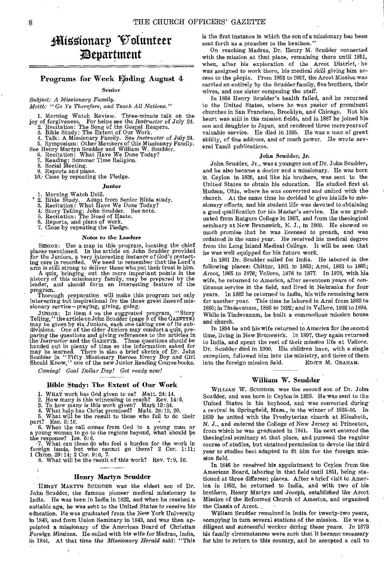## ifticzionarp 'Volunteer ;Department

#### Programs for Week Ending August 4

#### Senior

*Subject: A Missionary Family.* 

*Mottb: "Go Ye Therefore, and Teach All Nations."* 

1. Morning Watch Review. Three-minute talk on the joy of forgiveness. For helps see the *Instructor* of July 24.

2. Recitation: The Song of the Gospel Reapers. 3. Bible Study: The Extent of Our Work. 4., Talk: A Missionary Family. See *Instructor* of July 24. 5. Symposium: Other Members of this Missionary Family.

See Henry Martyn Scudder and William W. Scudder. 6. Recitation: What Have We Done Today?

7. Reading: Summer Time Religion. 8. Social Meeting.

9. Reports and plans. 10.' Close by repeating the Pledge.

#### Junior

- 
- 1. Morning Watch Drill. 2. Bible Study. Adapt from Senior Bible study.
- 3. Recitation: What Have We Done Today?
- 4: Story Telling: John Scudder. See note.
- 5. Recitation: The Need of Haste,
- 5. Recitation: The Need of Ha<br>6. Reports, and plans of work.<br>7. Close by repeating the Pleds
- 7. Close by repeating the Pledge.

#### Notes *to the Leaders*

SENIOR: Use a map in this program, locating the chief places mentioned. In the article on John Scudder provided for the Juniors, a very interesting instance of God's protect-ing care is recorded. We need to remember that the Lord's arm is still strong to deliver those who put their trust in him.

A quiz, bringing out the more important points in the history of this missionary family, may be prepared by the leader, and should form an interesting feature of the program.

Thorough preparation will make this program not only interesting but inspirational for the three great lines of missionary service-praying, giving, going.

JUNIOR: In item 4 on the suggested program, "Story<br>Telling," the article on John Scudder (page 9 of the GAZETTE)<br>may be given by six Juniors, each one taking one of its sub-<br>divisions. One of the older Juniors may conduct

*Coming! Goal Dollar Day! Get ready now!* 

#### Bible Study: The Extent of Our Work

1. WHAT work has God given to us? Matt.  $24:14$ .<br>
2. How many is this witnessing to reach? Rev. 14:6.<br>
3. To how many is this work given? Mark 13:34.<br>
4. What help has Christ promised? Matt.  $28:19$ ,  $20$ .<br>
5. What will b

part? Eze. 3:18.<br>6. When the call comes from God to a young man or<br>a young woman to go to the regions beyond, what should be<br>the response? Isa. 6:8.<br>7. What can those do who feel a burden for the work in<br>foreign lands, bu

1 *Chron.* 29:14; 2 Cor. 9:6, 7.

8. What will be the result of this work? Rev. 7:9, 10.

#### Henry Martyn Scudder

HENRY MARTYN SCUDDER was the eldest son of Dr. John Scudder, the famous pioneer medical missionary to India. He was born in India in 1822, and when he reached a suitable age, he was seht to the United States to receive his education. He was graduated from the New York University *in* 1840, and from Union Seminary in 1843, and was then appointed a missionary of the American Board of Christian Foreign Missions. He sailed with his wife for Madras, India, in 1844. At that time the *Missionary Herald said: "This*  *is* the first instance in which the son of a missionary has been sent forth as a preacher to the heathen."

On reaching Madras, Dr. Henry M. Scudder connected with the mission at that place, remaining there until 1861, when, after his exploration of the Arcot District, he was *assigned* to work there, his medical skill giving him access to the people. From 1853 to 1857, the Arcot Mission was carried on entirely by the Scudder family, five brothers, their wives, and one sister composing the staff,

In 1864 Henry Seudder's health failed, and he returned to the United States, where he was pastor of prominent churches in San Francisco, Brooklyn, and Chicago. But his heart was still in the mission fields, and in 1887 he joined his son and daughter in Japan, and rendered three more years of valuable service. He died in 1895. He was a man of great ability, of fine address, and of much power. He wrote several Tamil publications.

#### John Scudder, *Jr.*

John Scudder, Jr., was a younger son of Dr. John Scudder, and he also became a doctor and a missionary. He was born in Ceylon in 1835, and like his brothers, was sent to the United States to obtain his education. He studied first at Hudson, Ohio, where he was converted and united with the church. At the same time he decided to give his life to missionary efforts, and his student life was devoted to obtaining a good qualification for his Master's service. He was graduated from Rutgers College in 1857, and from the theological seminary at New Brunswick, N. J., in 1860. He *showed* so much promise that he was licensed to preach, and was *ordained in* the same year. He received his medical degree from the Long Island Medical College. It will be seen that he was well equipped for his future work.

In 1861 Dr. Scudder sailed for India. He labored in the following places: Chittur, 1861 to 1863; Arni, 1863 to 1865; Arcot, 1865 to 1876; Vellore, 1876 to 1877. In 1878, with his wife, he returned to America, after seventeen years of continuous service in the field, and lived in Nebraska for four years. In 1882 he returned to India, his wife remaining here for another year. This time he labored in Arni from 1882 to 1886; in Tindevanam, 1885 to 1892; and *in* Vellore, 1892 to 1894. While in Tindevanam, he built a commodious mission house and church.

In 1894 he and his wife returned to America for the second time, living in New Brunswick. In 1897, they again returned to India, and spent the rest of their mission *life* at Vellore. Dr. Scudder died in 1900. His children have, with a single exception, followed him into the ministry, and three of them<br>into the foreign mission field. EDITH M. GRAHAM. into the foreign mission field.

#### William W. Scudder

WILLIAM W. SCUDDER was the second son of Dr. John Scudder, and was born in Ceylon in 1823. He was sent to the United States in his boyhood, and was converted during a revival in Springfield, Mass., in the winter of 1836-86. In 1839 he united with the Presbyterian church at Elizabeth, N. J., *and entered* the College of New Jersey at Princeton, from which he was graduated in 1841. He next entered the theological seminary at that place, and pursued the regular course of studies, but obtained permission to devote the third year to studies best adapted to fit him for the foreign mission *field.* 

In 1846 he received his appointment to Ceylon from the American Board, laboring in that field until 1851, being stationed at three different places. After a brief visit to America in 1852, he returned to India, and with two of *his*  brothers, Henry Martyn and *Joseph,* established the Arcot Mission of the Reformed Church of America, and organized the Classis of Arcot. •

William Scudder remained in India for twenty-two years, occupying in turn several stations of the mission. He was a diligent and successful worker during these years. In 1873 his family circumstances were such that it became necessary for him to return to this country, and he accepted a call to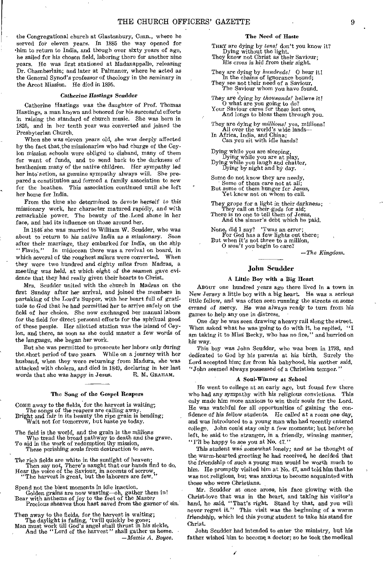the Congregational church at Glastonbury, Conn., where he served for eleven years. In 1885 the way opened for 'him to return to India, and though over sixty years of age, he sailed for his chosen field, laboring there for another nine years. He was first stationed at Madanappalle, releasing Dr. Chamberlain; and later at Palmaner, where he acted as the General Synod's professor of theology in the seminary in the Arcot Mission. He died in 1895.

#### *Catherine Hastings Scudder*

Catherine Hastings was the daughter of Prof. Thomas Hastings, a man known and honored for his successful efforts in raising the standard of church music. She was born in 1825, and in her tenth year was converted and joined the Presbyterian Church.

When she was eleven years old, she was deeply affected by the fact that, the missionaries who had charge of the Ceylon mission schools were obliged to disband, many of them for want of funds, and to send back to the darkness of heathenism many of the native children. Her sympathy led her into action, as genuine sympathy always will. She prepared a constitution and formed a family association to sew for the heathen. This association continued until she left her home for India.

From the time she determined to devote *herself* to this missionary work, her character matured rapidly, and with remarkable power. The beauty of the Lord shone in her face, and had its influence on those around her.

In 1846 she was married to William W. Scudder, who was about to return to *his* native India as a *missionary.* Soon after their marriage, they embarked for India, on the ship "Flavio." In midocean there was a revival on board, in In midocean there was a revival on board, in which several of the roughest sailors were converted. When they were two hundred and eighty miles from Madras, a meeting was held, at which eight *of* the seamen gave evidence that they had really given their hearts to Christ.

Mrs. Scudder united with the church in Madras on the first Sunday after her arrival, and joined the members *in*  partaking of the Lord's Supper, with her heart full of gratitude to God that he had permitted her to arrive safely on the field of her choice. She now exchanged her manual labors for the field for direct personal efforts for the spiritual good of these people. Her allotted station was the island of Ceylon, and there, as soon as she could master a few words of the *language,* she began her work.

But she was permitted to prosecute her labors only during the short period of two years. While on a journey with her husband, when they were returning from Madura, she was attacked with cholera, and died in 1849, declaring in her last words that she was happy in Jesus.

#### The Song of the Gospel Reapers

COME away to the fields, for the harvest is waiting;, The *songs* of the reapers are calling away. Bright and fair in its beauty the ripe grain is bending; Wait not for tomorrow, but haste ye today.

The field is the world, and the grain is the millions Who tread the broad pathway to death and the grave.

To aid in the work of redemption thy mission, These perishing souls from destruction to save.

The rich fields are white in the sunlight of heaven;<br>Then say not, There's naught that our hands find to do.<br>Hear the voice of the Saviour, in accents of sorrow,<br>"The harvest is great, but the laborers are few."

Spend not the blest moments in idle inaction. Golden grains are now wasting—oh, gather them in! Bear with anthems of joy to the feet of the Master Precious sheaves thou hest saved from the garner of sin.

Then away to the fields, for the harvest is waiting; The daylight is fading, 'twill quickly be gone; Man must work till God's angel shall thrust m his sickle, And the "Lord of the harvest" shall gather us home.

*—Mattie* A. *Boyce.* 

#### The Need of Haste

THEY are dying by *tens!* don't you know it? Dying without the light. They know not Christ as their Saviour; His *cross is* hid from *their sight.* 

They are dying by *hundreds!* 0 hear it! In the chains of ignorance bound; They see not their need of a Saviour,

The Saviour whom you have found.

They are *dying* by *thousands!* believe it! 0 what are you going to do? Your Saviour cares for these lost ones, And longs to bless them through you.

They are dying by *millions!* yes, millions!<br>
All over the world's wide lands—<br>
In Africa, India, and China;<br>
Can you sit with idle hands?

Dying while you are sleeping, Dying while you are at play, Dying while you laugh and chatter, Dying by *night* and by day. -

Some do not know they are needy, Some of them care not at all; But some of them hunger for Jesus, Yet know not on whom to call.

They grope for a light in their darkness;<br>They call on their gods for aid;<br>There is no one to tell them of Jesus, And the sinner's debt which he paid.

None, did I say? 'Twas an error; For God has a few lights out there; But when it's not three to a million, 0 *won't* you begin to care?

*—The Kingdom.* 

#### John Scudder

#### A Little Boy with a Big Heart

ABOUT one hundred years ago there lived in a town in New Jersey a little boy with a big heart. He was a serious little fellow, and was often seen running the streets on some errand *of mercy. He* was always ready to turn from his games to help any one in distress.

One day he was seen drawing a heavy rail along the street. When asked what he was going to do with it, he replied, "I am taking it to Miss Becky, who has no fire," and hurried on his way.

This boy was John Scudder, who was born in 1793, and dedicated to God by his parents at his birth. Surely the Lord accepted him; for from his babyhood, his mother said, "John seemed always possessed of a Christian temper."

#### A Soul-Winner *at* School

He went to college at an early age, but found few there who had any sympathy with his religious convictions. This only made him more anxious to win their souls for the Lord. He was watchful for all opportunities of gaining the confidence of his fellow students. He called at a room one day, and was introduced to a young man who had recently entered college. John could stay only a few moments; but before he left, he said to the stranger, in a friendly, winning manner, "I'll be happy to see you at No. 47."

This student was somewhat lonely; and as he thought of the warm-hearted greeting he had received, he decided that the friendship of such a young man would be worth much to him. He promptly visited him at No. 47, and told him that he was not religious, but was anxious to become acquainted with those who were Christians.

Mr. Scudder at once arose, his face glowing with the Christ-love that was in the heart, and taking his visitor's hand, he said, "That's right. Stand by that, and you will never regret it." This visit was the beginning of a warm friendship, which led this young student to take his stand for Christ.

John Scudder had intended to enter the ministry, but his father wished him to become a doctor; so he took the *medical*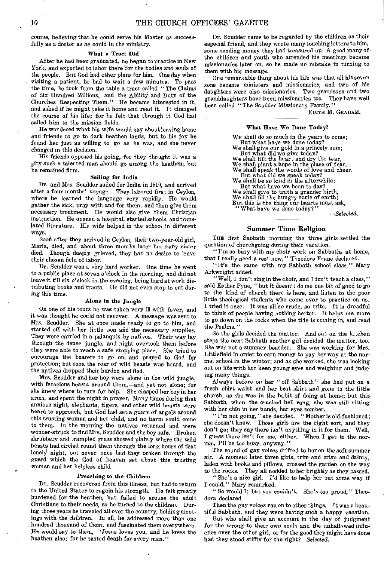course, believing that he could serve his Master as successfully as a doctor as he could in the ministry.

#### What a Tract Did

After he had been graduated, he began to practice in New York, and expected to labor there for the bodies and souls of the people. But God had other plans for him. One day when visiting a patient, he had to wait a few minutes. To pass the time, he took from the table a tract called "The Claims of Six Hundred Millions, and the Ability and Duty of the Churches Respecting Them." He became interested in it, and asked if he might take it home and read it. It changed the course of his life; for he felt that through it God had called him to the mission fields.

He wondered what his wife would say about leaving home and friends to go to dark heathen lands, but to his joy he found her just as willing to go as he was, and she never changed in this decision.

His friends opposed his going, for they thought it was a pity such a talented man should go among the heathen; but he remained firm.

#### Sailing for India

Dr. and Mrs. Scudder sailed for India in 1819, and arrived after a four months' voyage. They labored first in Ceylon, where he learned the language very rapidly. He would gather the sick, pray with and for them, and then give them necessary treatment. He would also give them Christian instruction. He opened a hospital, started schools, and translated literature. His wife helped in the school in different ways.

Soon after they arrived in Ceylon, their two-year-old girl, Maria, died, and about three months later her baby sister died. Though deeply grieved, they had no desire to leave their chosen field of labor.

Dr. Scudder was a very hard worker. One time he went to a public place at seven o'clock in the morning, and did not leave it till six o'clock in the evening, being hard at work distributing books and tracts. He did not even stop to eat during this time.

#### Alone in the Jungle

On one of his tours he was taken very ill with fever, and it was thought he could not recover. A message was sent to Mrs.. Scudder. She at once made ready to go to him, and started off with her little son and the necessary supplies. They were carried in a palanquin by natives. Their way lay through the dense jungle, and night overtook them before they were able to reach a safe stopping place. She tried to encourage the bearers to go on, and prayed to God for protection; but soon the roar of wild beasts was heard, and the natives dropped their burden and fled.

Mrs. Scudder and her boy were alone in the wild jungle, with ferocious beasts around them, —and yet not alone; for she knew where to turn for help. She clasped her boy in her arms, and spent the night in prayer. Many times during that anxious night, elephants, tigers, and other wild beasts were heard to approach, but God had set a guard of angels around this trusting woman and her child, and no harm could come to them. In the morning the natives returned and were wonder-struck to find Mrs. Scudder and the boy safe. Broken shrubbery and trampled grass showed plainly where the wild beasts had circled round them through the long hours of that lonely night, but never once had they broken through the guard which the God of heaven set about this trusting woman and her helpless child.

#### Preaching to the Children

Dr. Scudder recovered from this illness, but had to return to the United States to regain his strength. He felt greatly burdened for the heathen, but failed to arouse the adult Christians to their needs, so he turned to the children. ing three years he traveled all over the country, holding meetings with the children. In all, he addressed more than one hundred thousand of them, and fascinated them everywhere. He would say to them, "Jesus loves you, and he loves the heathen also; for he tasted death for every man."

Dr. Scudder came to be regarded by the children as their especial friend, and they wrote many touching letters to him, some sending money they had treasured up. A good many of. the children and youth who attended his meetings became missionaries later on, so he made no mistake in turning to them with his message.

One remarkable thing about his life *was* that all his seven sons became ministers and missionaries, and two of his daughters were also missionaries. Two grandsons and two granddaughters have been missionaries too. They have well been called "The Scudder Missionary Family."

EDITH M. GRAHAM.

#### What Have We Done Today?

WE shall do so much in the years to come; But what have we done today? We shall give our gold in a princely sum; But what did we give today? We shall lift the heart and dry the tear, We shall plant a hope in the place of fear, We shall speak the words of love and cheer. But what did we speak today? We shall be so kind in the afterwhile; But what have we been to day? We shall give to truth a grander birth, We shall fill the hungry souls of earth; But this is the thing our hearts must ask, " What have we done today?"

*—Selected.* 

#### Summer Time Religion

THE first Sabbath morning the three girls settled the question of churchgoing during their vacation.

"I'm so busy with my choir work on Sabbaths at home, that I really need a rest now," Theodora Frane declared.

"It's the same with my Sabbath school class," Mary Arkwright added.

"Well, I don't sing in the choir, and I don't teach a class," said Esther Pyne, "but it doesn't do me one bit of good to go to the kind of church there is here, and listen to the poor little theological students who come over to practice on us. I tried it once. It was all so crude, so trite. It is dreadful to think of people having nothing better. It helps me more to go down on the rocks when the tide is coming in, and read the Psalms."

So the girls decided the matter. And out on the kitchen steps the next Sabbath another girl decided the matter, too. She was not a summer boarder. She was working for Mrs. Littlefield in order to earn money to pay her way at the normal school in the winter; and as she worked, she was looking out on life with her keen young eyes and weighing and judging many things.

Always before on her "off Sabbath" she had put on a fresh shirt waist and her best skirt and gone to the little church, as she was in the habit of doing at home; but this Sabbath, when the cracked bell rang, she was still sitting with her chin in her hands, her eyes somber.

"I'm not going," she decided. "Mother is old-fashioned; she doesn't know. Those girls are the right sort, and they don't go; they say there isn't anything in it for them. Well, I guess there isn't for me, either. When I get to the normal, I'll be too busy, anyway."

The sound of gay voices drifted to her on the soft summer air. A moment later three girls, trim and crisp and dainty, laden with books and pillows, crossed the garden on the way to the rocks. They all nodded to her brightly as they passed.

"She's a nice girl. I'd like to help her out some way if I could," Mary remarked.

"So would I; but you couldn't. She's too proud," Theodora declared.

Then the gay voices ran on to other things. It was a beautiful Sabbath, and they were having such a happy vacation.

But who shall give an account in the day of judgment for the wrong to their own souls and the unhallowed influence over the other girl, or for the good they might have done had they stood stiffly for the *right?—Selected.*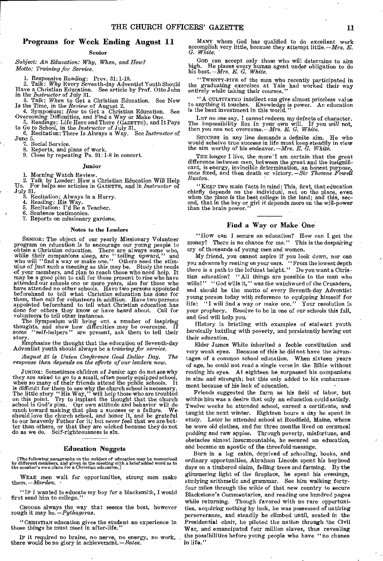#### Programs for Week Ending August 11

#### Senior

*Subject: An Education: Why, When, and How? Motto: Training for Service.* 

1. Responsive Reading: Prov. 31:1-18. 2. Talk: *Why* Every Seventh-day Adventist Youth Should Have a Christian Education. See article by Prof. Otto John

in the *Instructor* of July 31.

3. Talk: *When* to Get a Christian Education. See Now Is the Time, in the *Review* of August 2. 4. Symposium: *How* to Get a Christian Education. See

Overcoming Difficulties, and Find a Way or Make One. 5. Readings: Life Here and There (GAZETTE), and It Pays

to Go to School, in the *Instructor* of July 31. 6. Recitation: There Is Always a Way. See *Instructor* of

June 5.<br>
7. Social Service.

8. Reports, and plans of work.

9. Close by repeating Ps. 91:1-8 in concert.

#### Junior

1. Morning Watch Review.

2. Talk by Leader: How a Christian Education Will Help TJs. For helps see articles in GAZETTE, and in *Instructor* of

July 31. 3. Recitation: Always in a Hurry.

4. Reading: His Way. 5. Recitation: I'd Be a Teacher.

6. Sentence testimonies.

7. Reports on missionary gardens.

#### Notes to the Leaders

SENIOR: The object of our yearly Missionary Volunteer program on education is to encourage our young people to obtain a Christian education. There are always some who, while their companions sleep, are "toiling upward," and who will "find a way or make one." Others need the stimulus of just such a meeting as this may be. Study the of your members, and plan to reach those who need help. It may be a good plan to call for those present to rise who have attended our schools one or more years, also for those who have have attended no other schools. Have them, then call for volunteers in addition. Have two persons appointed beforehand to tell what Christian education has done for others they know or have heard about. Call for volunteers to tell other instances.

The Symposium will bring out a number of inspiring thoughts, and show how difficulties may be overcome. If some "self-helpers" are present, ask them to tell their story.

Emphasize the thought that the education of Seventh-day Adventist youth should always be a *training for service.* 

*August 25 is Union Conference Goal Dollar Day. The response then depends on the efforts of our leaders now.* 

JUNIOR: Sometimes children of Junior age do not see why<br>they are asked to go to a small, often poorly equipped school,<br>when so many of their friends attend the public schools. It<br>is difficult for them to see why the churc

#### Education Nuggets

[The following paragraphs on the subject of education may be memorized by different members, and given in the meeting with a brief added word as to the speaker's own plans for a Christian education.]

WEAK men wait for opportunities, strong men make them. *—Marden.* 

"IF I wanted to educate my boy for a blacksmith, I would first send him to college.

CHOOSE always the way that seems the best, however rough it may be. *—Pythagoras.* 

"CHRISTIAN education gives the student an experience in those things he must meet in after-life."

IF it required no brains, no nerve, no energy, no work, there would be no glory in achievement.  $-$  Bates.

MANY whom God has qualified to do excellent work accomplish very little, because they attempt little. *—Mrs. E. G. White:* 

GOD can accept only those who will determine to aim high. He places every human agent under obligation to do his best. *—Mrs. E. G. White.* 

"TWENTY-FIVE of the men who recently participated in the graduating exercises at Yale had worked their way entirely while taking their courses."

"A CULTIVATED intellect can give almost priceless value to anything it touches. Knowledge is power. An education is the best investment in this world."

LET no one say, I cannot redeem my defects of character. The impossibility lies in your own will. If you *will* not, then you *can* not overcome. *—Mrs. E. G. White.* 

SUCCESS in any line demands a definite aim. He who would acheive true success in life must keep steadily in view the aim worthy of his endeavor. *—Mrs. E. G. White.* 

THE longer I live, the more<sup>1</sup> am certain that the great difference between men, between the great and the insignifi-cant, is energy, invincible determination, an honest purpose, once fixed, and then death or victory. *—Sir Thomas Powell Buxton.* 

"KEEP two main facts in mind: This, first, that education chiefly depends on the individual, not on the place, even when the place is the best college in the land; and this, second, that in the boy or girl it depends more on the will-power than the brain power."

#### Find a Way or Make One

"How can I secure an education? How can I get the money? There is no chance for me." This is the despairing cry of thousands of young men and women.

My friend, you cannot aspire if you look down, nor can you advance by resting on your oars. "From the lowest depth there is a path to the loftiest height." Do you want a Christian education? "All things are possible to the man who wills!" "God wills it," was the watchword of the Crusaders, and should be the motto of every Seventh-day Adventist young person today with reference to equipping himself for<br>life: "I will find a way or make one." Your resolution is "I will find a way or make one." Your resolution is your prophecy. Resolve to be in one of our schools this fall, and God will help you.

History is bristling with examples of stalwart youth heroically battling with poverty, and persistently hewing out their education.

Elder James White inherited a feeble constitution and very weak eyes. Because of this he did not have the advantages of a common school education. When sixteen years of age, he could not read a single verse in the Bible without resting his eyes. At eighteen he surpassed his companions in size and strength; but this only added to his embarrassment because of his lack of education.

Friends suggested the farm as his field of labor, but within him was a desire that only an education could satisfy. Twelve weeks he attended school, earned a certificate, and taught the next winter. Eighteen hours a day he spent in study. Later he attended school at Readfield, Maine, where he wore old clothes, and for three months lived on cornmeal pudding and raw apples. Through poverty, misfortune, and obstacles almost insurmountable, he secured *an* education, and became an apostle of the threefold message.

Born in a log cabin, deprived of schooling, books, and ordinary opportunities, Abraham Lincoln spent his boyhood days on a timbered claim, felling trees and farming. By the glimmering light of the fireplace, he spent his evenings, studying arithmetic and grammar. See him walking fortyfour miles through the wilds of that new country to secure Blackstone's Commentaries, and reading one hundred pages while returning. Though favored with no rare opportunities, acquiring nothing by luck, he was possessed of untiring perseverance, and steadily he climbed until, seated in the Presidential chair, he piloted the nation through the Civil War, and emancipated four million slaves, thus revealing the possibilities before young people who have "no chance in life."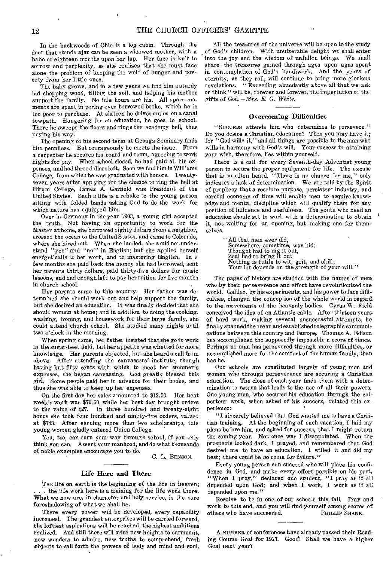In the backwoods of Ohio is a log cabin. Through the door that stands ajar can be seen a widowed mother, with a babe of eighteen months upon her lap. Her face is knit in sorrow and perplexity, as she realizes that she must face alone the problem of keeping the wolf of hunger and poverty from her little ones.

The baby grows, and in a few years we find him a sturdy lad chopping wood, tilling the soil, and helping his mother support the family. No idle hours are his. All spare moments are spent in poring over borrowed books, which he is too poor to purchase. At sixteen he drives mules on a canal towpath. Hungering for an education, he goes to school. There he sweeps the floors and rings the academy bell, thus paying his way.

The opening of his second term at Geauga Seminary finds him penniless. But courageously he meets the issue. From a carpenter he secures his board and room, agreeing to work nights for pay. When school closed, he had paid all his expenses, and had three dollars left. Soon we find him in Williams College, from which he was graduated with honors. Twentyseven years after applying for the chance to ring the bell at Hiram College, James A. Garfield was President of the United States. Such a life is a rebuke to the young person sitting with folded hands asking God to do the work for which nature has equipped him.

Over in Germany in the year 1903, a young girl accepted the truth. Not having an opportunity to work for the Master at home, she borrowed eighty dollars from a neighbor, crossed the ocean to the United States, and came to Colorado, where she hired out. When she landed, she could not understand "yes" and "no" in English; but she applied herself energetically to her work, and to mastering English. In a few months she paid back the money she had borrowed, sent her parents thirty dollars, paid thirty-five dollars for music lessons, and had enough left to pay her tuition for five months in church school.

Her parents came to this country. Her father was determined she should work out and help support the family, but she desired an education. It was finally decided that she should remain at home; and in addition to doing the cooking, washing, ironing, and housework for their large family, she could attend church school. She studied many nights until two o'clock in the morning.

When spring came, her father insisted that she go to work in the sugar-beet field, but her appetite was whetted for more knowledge. Her parents objected, but she heard a call from above. After attending the canvassers' institute, though having but fifty cents with which to meet her summer's expenses, she began canvassing. God greatly blessed this girl. Some people paid her in advance for their books, and thus she was able to keep up her expenses.

On the first day her sales amounted to \$12.50. Her best week's work was \$72,50, while her best day brought orders to the value of \$27. In three hundred and twenty-eight hours she took four hundred and ninety-five orders, valued at \$743. After earning more than two scholarships, this young woman gladly entered Union College.

You, too, can earn your way through school, if you only think you can. Assert your manhood, and do what thousands of noble examples encourage you to do.

C. L. BENSON.

#### Life Here and There

THE life on earth is the beginning of the life in heaven; . . . the life work here is a training for the life work there. What we now are, in character and holy service, is the sure foreshadowing of what we shall be.

There every power will be developed, every capability increased. The grandest enterprises will be carried forward, the loftiest aspirations will be reached, the highest ambitions realized. And still there will arise new heights to surmount, new wonders to admire, new truths to comprehend, fresh objects to call forth the powers of body and mind and soul.

All the treasures of the universe will be open to the study of God's children. With unutterable delight we shall enter into the joy and the wisdom of unfallen beings. We shall share the treasures gained through ages upon ages spent in contemplation of God's handiwork. And the years of eternity, as they roll, will continue to bring more glorious revelations. " Exceeding abundantly above all that we ask or think" will be, forever and forever, the impartation of the gifts of God. *— Mrs. E. G. White.* 

#### Overcoming Difficulties

" SuccEss attends him who determines to persevere." Do you desire a Christian education? Then you may have it; for "God wills it," and all things are possible to the man who wills in harmony with God's will. Your success in attaining your wish, therefore, lies within yourself.

There is a call for every Seventh-day Adventist young person to secure the proper equipment for life. The excuse that is so often heard, "There is no chance for me," only indicates a lack of determination. We are told by the Spirit of prophecy that a resolute purpose, persistent industry, and careful economy of time will enable men to acquire knowledge and mental discipline which will qualify them for any position of influence and usefulness. The youth who need an education should set to work with a determination to obtain it, not waiting for an opening, but making one for themselves.

> "All that men ever did, Somewhere, sometime, was hid; Thought had to dig it out, Zeal had to bring it out. Nothing is futile to wit, grit, and skill; Your lot depends on the strength of your will."

The pages of history are studded with the names of men who by their perseverance and effort have revolutionized the world. Galileo, by his experiments, and his power to face difficulties, changed the conception of the whole world in regard to the movements of the heavenly bodies. Cyrus W. Field conceived the idea of an Atlantic cable. After thirteen years of hard work, making several unsuccessful attempts, he finally spanned the ocean and established telegraphic communications between this country and Europe. Thomas A. Edison has accomplished the supposedly impossible a score of times. Perhaps no man has persevered through more difficulties, or accomplished more for the comfort of the human family, than has he.

Our schools are constituted largely of young men and women who through perseverance are securing a Christian education. The close of each year finds them with a determination to return that leads to the use of all their powers. One young man, who secured his education through the colporteur work, when asked of his success, related this experience:

"I sincerely believed that God wanted me to have a Christian training. At the beginning of each vacation, I laid my plans before him, and asked for success, that I might return the coming year. Not once was I disappointed. When the prospects looked dark, I prayed, and remembered that God desired me to have an education. I willed it and did my best; there could be no room for failure."

Every young person can succeed who will place his confidence in God, and make every effort possible on his part. "When I pray," declared one student, "I pray as if all depended upon God; and when I work, I work as if all depended upon me."

Resolve to be in one of our schools this fall. Pray and work to this end, and you will find yourself among scores of others who have succeeded. PHILLIP SHANK.

A NUMBER of conferences have already passed their Reading Course Goal for 1917. Good! Shall we have a higher Goal next year?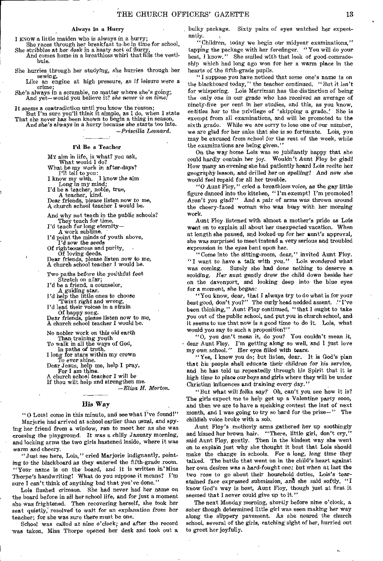#### Always in a Hurry

I KNOW a little maiden who is always in a hurry;

She races through her breakfast to-be in time for school, She scribbles at her desk in a hasty sort of flurry,

And comes home in a breathless whirl that fills the vestibule.

She hurries through her studying, she hurries through her sewing,

Like an engine at high pressure, as if *leisure* were a crime;

She's always in a scramble, no matter where she's going; And yet—would you believe it? *she never is on time!* 

It seems a ecortradiction until you know the reason;

But I'm sure you'll think it simple, as I do, when I state That she never has been known to begin a thing in season, And she's always *in a hurry* because *she* starts too late.

*—Priscilla Leonard.* 

#### I'd Be a Teacher

MY aim in life, is what? you ask,

What would I do?

What be my work in after-days?<br>
I'll tell to you:<br>
I know my wish. I know the aim

Long in my mind;<br>
I'd be a teacher, noble, true,<br>
A teacher, kind.<br>
Dear friends, please listen now to me, A church school teacher I would be.

And why not teach in the public schools?

They teach for time.<br>I'd teach for long eternity-

A work sublime.

I'd point the minds of youth above, I'd sow the seeds

Of righteousness and purity, Of loving deeds.

Dear friends, please listen now to *me,*  A church school teacher I would be.

Two paths before the youthful feet Stretch on afar;

I'd be a friend, a counselor, A guiding star.

I'd help the little ones to choose

'Twixt right and wrong, I'd lead their voices in a strain

Of happy song. Dear friends, please listen now to me, A church school teacher I would be.

No nobler work on this old earth

Than training youth To walk in all the ways of God,

In paths of truth. I long for stare within my crown

To ever *shine.*  Dear Jesus, help me, help I pray,

For I am thine.

A church school teacher I will be If thou wilt help and strengthen me. *—Eliza H. Morton.* 

### His Way

"0 Lois! come in this minute, and see what I've found!" Marjorie had arrived at school earlier than usual, and spying her friend from a window, ran to meet her as she was crossing the playground. It was a chilly January morning, and locking arms the two girls hastened inside, where it was warm and cheery.

"Just see here, Lois," cried Marjorie indignantly, pointing to the blackboard as they entered the fifth-grade room. "Your name is on the board, and it is written in'Miss `Thorpe's handwriting! What do you suppose it means? I'm sure  $\bar{1}$  can't think of anything bad that you've done."

Lois flushed crimson. She had never had her name on the board before in all her school life, and for just a moment she was frightened. Then recovering herself, she took her seat quietly; resolved to wait for an explanation from her teacher; for she was sure there must be one.

School was called at nine o'clock; and *after* the record was taken, Miss Thorpe opened her desk and took out a bulky package. Sixty pairs of eyes watched her expectantly.

"Children, today we begin our midyear examinations," tapping the package with her forefinger. " You will do your best, I know." She smiled with that look of good-comradeship which had long ago won for her a warm place in the hearts of the fifth-grade pupils.

"I suppose you have noticed that some one's name is on the blackboard today," the teacher continued. "But it *isn't*  for whispering. Lois Merriman has the distinction of being the only one in *our* grade who has received an average of ninety-five per cent in her studies, and this, as you know, entitles her to the privilege of 'skipping a grade.' She is exempt from all examinations, and will be promoted to the sixth grade. While we are sorry to lose one of our number, we are glad for her sake that she is so fortunate. Lois, you may be excused from school for the rest of the week, while the examinations are being given."

On the way home Lois was so jubilantly happy that she could hardly contain her joy. Wouldn't Aunt Floy be glad! How many an evening she had patiently heard Lois recite her geography lesson, and drilled her on spelling! And *now* she would feel repaid for all her trouble.

"0 Aunt Ploy, " cried a breathless *voice,* as the gay little figure danced into the kitchen, "I'm exempt! I'm promoted! Aren't *you* glad?" And a pair of arms was thrown around the cheery-faced woman who was busy with her morning work.

Aunt Floy listened with almost a mother's pride as Lois went on to explain all about her unexpected vacation. When at length she paused, and looked up for her aunt's approval, she was surprised to meet instead a very serious and troubled expression in the eyes bent upon her.

"Come into the sitting-room, dear," invited Aunt Ploy. "I want to have a talk with you." Lois *wondered* what was coming. Surely she had done nothing to deserve a scolding. Her *aunt gently* drew the child down beside her on the davenport, and looking deep into the blue eyes for a moment, she began:

"You know, dear, that I always try to do what is for your best good, don't you?" The curly head nodded assent. "I've been thinking," Aunt Ploy continued, "that I ought to take you out of the public school, and put you in church school, and it seems to me that now is a good time to do it. Lois, what would you say to such a proposition?"

"0, you don't mean it, do you? You couldn't mean it, • dear Aunt Floy. I'm getting along so well, and I just love my own school." Her eyes filled with *tears.* 

*" Y es,* I know you do; but listen, dear. It is God's plan that his people shall educate their children for his service, and he has told us repeatedly through his Spirit that it is high time to place our boys and girls where they will be under Christian influences and training every day."

"But what will folks say? Oh, can't you see how it is? The girls expect me to help get up a Valentine party soon, and then we are to have a speaking contest the last of next month, and I was going to try so hard for the prize—" The childish voice broke with a sob.

Aunt Floy's motherly arms gathered her up soothingly and kissed her brown hair. "There, little girl, don't cry, said Aunt Floy, gently. Then in the kindest way she went on to explain just why she thought it best that Lois should make the change in schools. For a long, long time they talked. The battle that went on in the child's heart against her own desires was a hard-fought one; but when at last the two rose to go about their household duties, Lois's tearstained face expressed submission, and she said softly, "I know God's way is best, Aunt Floy, though just at first it seemed that I never could give up to it."

The next Monday morning, shortly before nine o'clock, a sober though determined little girl was seen making her way along the slippery pavement. As she neared the church school, several of the girls, catching' sight of her, hurried out to greet her joyfully.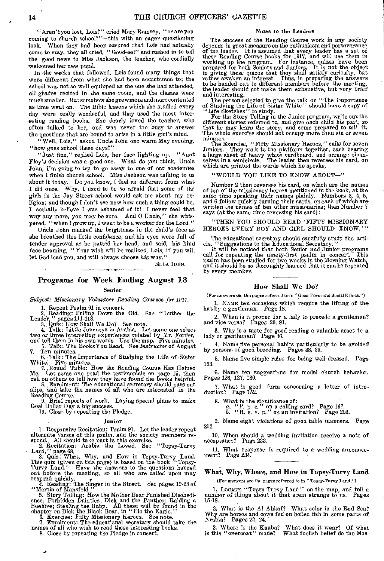"Aren't you lost, Lois?" cried Mary Ramsey, "or are you coming to church school?"-this with an eager questioning look. When they had been assured that Lois had actually When they had been assured that Lois had actually come to stay, they all cried, " Good-eel" and rushed in to tell the good news to Miss Jackson, the teacher, who cordially welcomed her new pupil.

In the weeks that followed, Lois found many things that were different from what she had been accustomed to; the school was not so well equipped as the one she had attended, all grades recited in the same room, and the classes were much smaller. But somehow shegrewmore and morecontented as time went on. The Bible lessons which she studied every day were really wonderful, and they used the most interesting reading books. She dearly loved the teacher, who often talked to her, and was never too busy to answer the questions that are bound to arise in a little girl's mind.

"Well, Lois," asked Uncle John one warm May evening, "how goes school these days?"

"Just fine," replied Lois, her face lighting up. "Aunt Floy's decision was a good one. What do you think, Uncle John; I'm going to try to go away to one of our academies when I finish church school. Miss Jackson was talking to us about it today. Do you know, I feel so different from what I did once. Why, I used to be so afraid that some of the *girls* in the Jay Street school would ask me about my religion; and though I don't see now how such a thing could be, I actually believe I was ashamed of it! I never feel that way any more, you may be sure. And 0 Uncle," she whispered, "when I grow up, I want to be a worker for the Lord."

Uncle John marked the brightness in the child's face as she breathed this little confidence, and his eyes were full of tender approval as he patted her head, and said, his kind face beaming, "Your wish will be realized, Lois, if you will let God lead you, and will always choose *his* way."

ELLA IDEN.

## Programs for Week Ending August 18

#### Senior

*Subject: Missionary Volunteer Reading Courses* for *1917.* 

1. Repeat Psalm 91 in concert.<br>
2. Reading: Pulling Down the Old. See "Luther the<br>
Leader," pages 111-118.<br>
3. Quiz: How Shall We Do? See note.<br>
4. Talk: Little Journeys in Arabia. Let some one select<br>  $w_0$  or three inte

Ten minutes.<br>6. Talk: The Importance of Studying the Life of Sister

6. Talk: The Importance of Studying the Life of Sister White. Five minutes,

7. Round Table: How the Reading Course Has Helped<br>Me. Let some one read the testimonials on page 15, then<br>call on others to tell how they have found the books helpful.<br>8. Enrolment: The educational secretary should pass ou

#### Junior

1. Responsive Recitation: Psalm 91. Let the leader repeat

alternate verses of this psalm, and the society members re-<br>spond. All should take part in this exercise.<br>2. Recitation: Arabia the Loved. See "Topsy-Turvy<br>Land," page 68.<br>3. Quiz: What, Why, and How in Topsy-Turvy Land.<br>T out before the meeting, so all who are called upon may respond quickly.<br>4. Reading: The Singer in the Street. See pages 19-28 of

"Martin of Mansfeld."

5. Story Telling: How the Mother Bear Punished Disobedience; Forbidden Dainties; Dick and the Panther; Raiding a Beehive; Stealing the Baby. All these will be found in the chapter on Dick the Black Bear, in "Elo the Eagle.

#### Notes to the Leaders

The success of the Reading Course work in any society depends in great measure on the enthusiasm and perseverance of the leader. It is assumed that every leader has a set of these Reading Course books for 1917, and will use them in working up the program. For instance, quizes have been prepared for both Seniors and Juniors. It is not the object in giving these quizes that they shall satisfy curiosity, but rather awaken an interest. Thus, in preparing the answers to be handed out to different members before the meeting, the leader should not make them exhaustive, but very brief and interesting.

The person selected to give the talk on "The Importance of Studying the Life of Sister White" should have a copy of "Life Sketches" to study.<br>For the Story Telling in the Junior program, write out the

different stories referred to, and give each child his part, so that he may learn the story, and come prepared to *tell* it. The whole exercise should not occupy more than six or seven minutes.

The Exercise, "Fifty Missionary Heroes," calls for seven<br>Juniors. They walk to the platform together, each bearing<br>a large sheet of heavy white cardboard, and arrange them-<br>selves in a semicircle. The leader then reverses

#### "WOULD YOU LIKE TO KNOW ABOUT-"

Number 2 then reverses his card, on which are the names of ten of the missionary heroes mentioned in the book, at the same time speaking their names plainly. Numbers 3, 4, 5, and 6 follow quickly turning their cards, on each of which are written the names of ten other missionar says (at the same time reversing his card):

"THEN YOU SHOULD READ 'FIFTY MISSIONARY HEROES EVERY BOY AND GIRL SHOULD KNOW.""

The educational secretary should carefully study the arti-cle, "Suggestions to the Educational Secretary." It will be noticed that both Senior and Junior programs

call for repeating the ninety-first psalm in concert. This psalm has been studied for two weeks in the Morning Watch, and it should be so thoroughly learned that it can be repeated by every member.

#### How Shall We Do?

(For answers see the pages referred to in "Good Form and Social Ethics.")

1. NAME ten occasions which require the lifting of the hat by a gentleman. Page 18.

2. When is it proper for a lady to precede a gentleman? and vice versa? Pages 20, 91.

3. Why is a taste for good reading a valuable asset to a lady or gentleman? Page 36.

4. Name five personal habits particularly to be avoided by persons of good breeding. Pages 38, 39.

5. Name five simple rules for being well- dressed. Page 103.

6. Name ten suggestions for model church behavior. Pages 126, 127, 130.

7. What is good form concerning a letter of intro-duction? Page 152.

8. What is the significance of:<br> *a.* "P. p. c." on a calling card? Page 167.<br> *b.* "R. s. v. p." on an invitation? Page 203.

212. 9. Name eight violations of good table manners. Page

10. When should a wedding invitation receive a note of acceptance? Page 233.

11. What response is required to a wedding announce-ment? Page 234.

What, Why, Where, and How in Topsy-Turvy Land

(For answers see the pages referred to in " Topsy-Turvy Land.")

1. LOCATE "Topsy-Turvy Land" on the map, and tell a number of things about it that seem strange to us. Pages 15-18.

2, What is the Al Ahkaf? What color is the Red Sea? Why are horses and cows fed on boiled fish in some parts of Arabia? Pages 22, 24.

3. Where is the Kaaba? What does it wear? Of what is this "overcoat" made? What foolish belief do the Mos-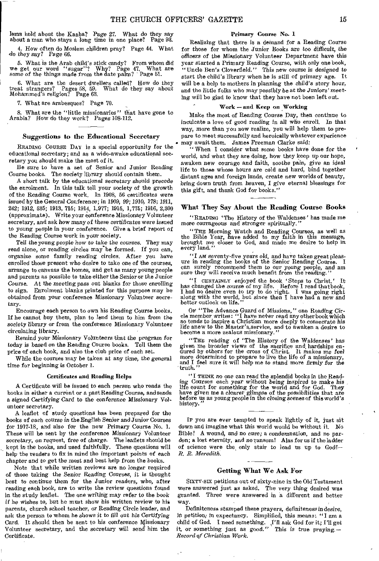lems hold about the Kaaba? Page 27. What do they say about a man who stays a long time in one place? Page 93.

4. How often do Moslem children pray? Page 44. What do they *say?* Page 66.

5. What is the Arab child's stick candy? From whom did we get our word "sugar"? Why? Page 47. What are some *of* the *things* made from the date palm? Page 51.

6. What are the desert dwellers called? How do they treat strangers? Pages 58, 59. What do they say about Mohammed's religion? Page 63.

7. What are arabesques? Page 70.

8. What are the "little missionaries" that have gone to Arabia? How do they work? Pages 108-112.

#### Suggestions to *the* Educational Secretary

READING COURSE DAY is a special opportunity for the educational secretary; and as a wide-awake educational secretary you should make the most of it.

Be sure to have a set of Senior and Junior Reading Course books, The society library should contain them.

A short talk by the educational secretary should precede the enrolment. In this talk tell your society of the growth of the Reading Course work. In 1908, 56 certificates were issued by the General Conference; *in* 1909, 99; 1910, 178; 1911, 242; 1912, 535; 1913, 715; 1914, 1,977; 1915, 1,775; 1916, 2,300 (approximate). Write your conference Missionary Volunteer secretary, and ask how *many* of these certificates were issued to young people in your conference. Give a brief report of the Reading Course work in your society.

Tell the young people how to take the courses. They may read alone, or reading circles may be formed. If you can, organize some family reading circles. After you have enrolled those present who desire to take one of the courses, arrange to canvass the homes, and get as many young people and parents as possible to take either the Senior or the Junior Course. At the meeting pass out blanks for those enrolling to sign. Enrolment blanks printed for this purpose may be obtained from your conference Missionary Volunteer secretary.

Encourage each person to own his Reading Course books. If he cannot buy them, plan to lend them to him from the society library or from the conference Missionary Volunteer circulating library.

Remind your Missionary Volunteers that the *program for*  today is based on the Reading Course books. Tell them the price of each book, and also the club price of each set.

While the courses may be taken at any time, the *general*  time for beginning is October 1.

#### Certificates and Reading Helps

A Certificate will be issued to each person who reads the books in either a current or a past Reading Course, and sends a signed Certifying Card to the conference Missionary Volunteer secretary.

A leaflet of study questions has been prepared for the books of each course *in* the *English* Senior and Junior Courses for 1917-18, and also for the new Primary Course No. 1. These will be sent by the conference Missionary Volunteer secretary, on request, *free* of charge. The leaflets should be kept in the books, and used faithfully. These questions will help the readers to fix in mind the important points of each chapter and to get the most and best help from the books.

Note that while written reviews are no longer required of those taking the Senior Reading Courses, it is thought best to *continue* them for the Junior readers, who, after reading each book, are to write the review questions found in the study leaflet. The one writing may refer to the book *if* he wishes to, but he must show his written review to his parents, church school teacher, or Reading Circle leader, and ask the person to whom he shows it to fill out his *Certifying*  Card. It should then be sent to his conference Missionary Volunteer secretary, and the secretary will send him the Certificate.

#### Primary Course No. 1

Realizing that there is a demand for a Reading Course for those for whom the Junior Books are too *difficult,* the officers of the Missionary Volunteer Department have this year started a Primary Reading Course, with only one book, "Uncle Ben's Cloverfield." This new course *is* designed to start the child's library when he is still of primary age. It will be a help to mothers in planning the child's story hour, and the little folks who may possibly be at the *Juniors'* meeting will be glad to know that they have not been left out.

#### Work—and Keep on Working

Make the most of Reading Course Day, then continue to inculcate a love of good reading in all who enroll. In that way, more than you now realize, you will help them to prepare to meet successfully and heroically whatever experience . may await them. James Freeman Clarke said:

"When I consider what some books have done for the world, and what they are doing, how they keep up our hope, awaken new courage and faith, soothe *pain, give an* ideal life to those whose hours are cold and hard, bind together distant ages and foreign lands, create new worlds of beauty, bring down truth from heaven, I *give* eternal blessings for this gift, and thank God for books."

#### What They Say About the Reading Course Books

"READING 'The History of the Waldenses' has made me more courageous and stronger spiritually."

"THE Morning Watch and Reading Courses, as well as the Bible Year, have added to my faith in this message, brought me closer to God, and made me desire to help in every land."

"I AM seventy-five years old, and have taken great pleas-ure in reading the books of the Senior Reading Course. I can surely recommend them to our *young* people, and am sure they will receive much benefit from the reading.

"I CERTAINLY enjoyed the book ' Steps to Christ.' It has changed the course of my life. Before I read thatbook, I had no desire even to try to do right. I was going right *along with* the world, but since then I have had a new and better outlook on life."

Or' "The Advance Guard of Missions," one Reading Cir-cle member writes: "I have neter read any other book which so tends to inspire a Christian more deeply to consecrate his life anew to the Master's,service, and to awaken a desire to become a more zealous missionary.

"THE reading of 'The History of the *Waldenses'* has given me broader views of the sacrifice and, hardships en-dured by others for the cross of Christ. It makes me feel more determined to prepare to live the life of a missionary, and I feel sure it will help me to stand more firmly for the truth."

"I THINK no one can read the splendid books in the Reading Courses each year without being inspired to make his life count for something for the world and for God. They have given me a clearer glimpse of the possibilities that are before us as young people in the closing scene history.

Ir you are ever tempted to speak lightly of it, just sit down and imagine what this world would be without it. No Bible! A wound, and no cure; a condemnation, and no pardon; a lost eternity, and no ransom! Alas for us if the ladder of science were the only stair to lead us up to God!— *R. R. Meredith.* 

#### Getting What We Ask For

SIXTY-SIX petitions out of sixty-nine in the Old Testament were answered just as asked. The very thing desired was *granted.* Three were answered in a different and better way.

Definiteness stamped these prayers, definiteness in desire, in petition; in expectancy. Simplified, this means: "I am a child of God. I need something. I'll ask God for it; I'll get it, or something just as good." This is true praying. *— Record of Christian Work.*